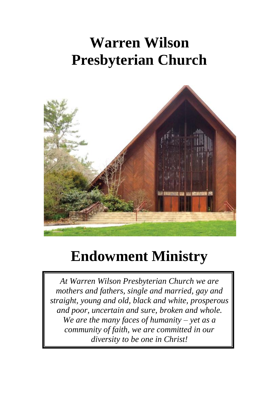# **Warren Wilson Presbyterian Church**



# **Endowment Ministry**

*At Warren Wilson Presbyterian Church we are mothers and fathers, single and married, gay and straight, young and old, black and white, prosperous and poor, uncertain and sure, broken and whole. We are the many faces of humanity – yet as a community of faith, we are committed in our diversity to be one in Christ!*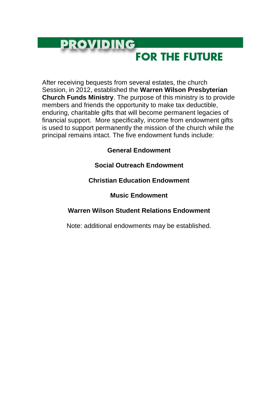## **PROVIDING**

### **FOR THE FUTURE**

After receiving bequests from several estates, the church Session, in 2012, established the **Warren Wilson Presbyterian Church Funds Ministry**. The purpose of this ministry is to provide members and friends the opportunity to make tax deductible, enduring, charitable gifts that will become permanent legacies of financial support. More specifically, income from endowment gifts is used to support permanently the mission of the church while the principal remains intact. The five endowment funds include:

#### **General Endowment**

#### **Social Outreach Endowment**

#### **Christian Education Endowment**

#### **Music Endowment**

#### **Warren Wilson Student Relations Endowment**

Note: additional endowments may be established.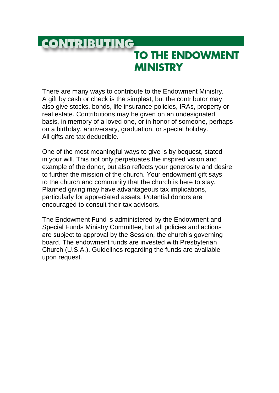### **CONTRIBUTING**

### **TO THE ENDOWMENT MINISTRY**

There are many ways to contribute to the Endowment Ministry. A gift by cash or check is the simplest, but the contributor may also give stocks, bonds, life insurance policies, IRAs, property or real estate. Contributions may be given on an undesignated basis, in memory of a loved one, or in honor of someone, perhaps on a birthday, anniversary, graduation, or special holiday. All gifts are tax deductible.

One of the most meaningful ways to give is by bequest, stated in your will. This not only perpetuates the inspired vision and example of the donor, but also reflects your generosity and desire to further the mission of the church. Your endowment gift says to the church and community that the church is here to stay. Planned giving may have advantageous tax implications. particularly for appreciated assets. Potential donors are encouraged to consult their tax advisors.

The Endowment Fund is administered by the Endowment and Special Funds Ministry Committee, but all policies and actions are subject to approval by the Session, the church's governing board. The endowment funds are invested with Presbyterian Church (U.S.A.). Guidelines regarding the funds are available upon request.